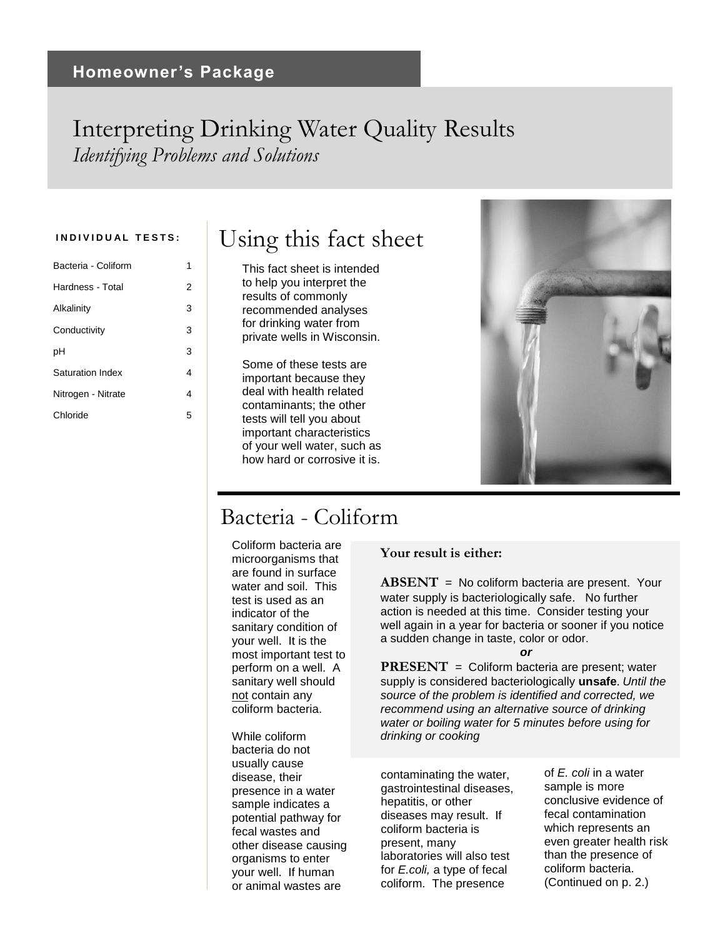### Interpreting Drinking Water Quality Results *Identifying Problems and Solutions*

| Bacteria - Coliform | 1 |
|---------------------|---|
| Hardness - Total    | 2 |
| Alkalinity          | 3 |
| Conductivity        | 3 |
| рH                  | 3 |
| Saturation Index    | 4 |
| Nitrogen - Nitrate  | 4 |
| Chloride            | 5 |
|                     |   |

# INDIVIDUAL TESTS: **I** Using this fact sheet

This fact sheet is intended to help you interpret the results of commonly recommended analyses for drinking water from private wells in Wisconsin.

Some of these tests are important because they deal with health related contaminants; the other tests will tell you about important characteristics of your well water, such as how hard or corrosive it is.



### Bacteria - Coliform

Coliform bacteria are microorganisms that are found in surface water and soil. This test is used as an indicator of the sanitary condition of your well. It is the most important test to perform on a well. A sanitary well should not contain any coliform bacteria.

While coliform bacteria do not usually cause disease, their presence in a water sample indicates a potential pathway for fecal wastes and other disease causing organisms to enter your well. If human or animal wastes are

### **Your result is either:**

**ABSENT** = No coliform bacteria are present. Your water supply is bacteriologically safe. No further action is needed at this time. Consider testing your well again in a year for bacteria or sooner if you notice a sudden change in taste, color or odor.

#### *or*

**PRESENT** = Coliform bacteria are present; water supply is considered bacteriologically **unsafe**. *Until the source of the problem is identified and corrected, we recommend using an alternative source of drinking water or boiling water for 5 minutes before using for drinking or cooking*

contaminating the water, gastrointestinal diseases, hepatitis, or other diseases may result. If coliform bacteria is present, many laboratories will also test for *E.coli,* a type of fecal coliform*.* The presence

of *E. coli* in a water sample is more conclusive evidence of fecal contamination which represents an even greater health risk than the presence of coliform bacteria. (Continued on p. 2.)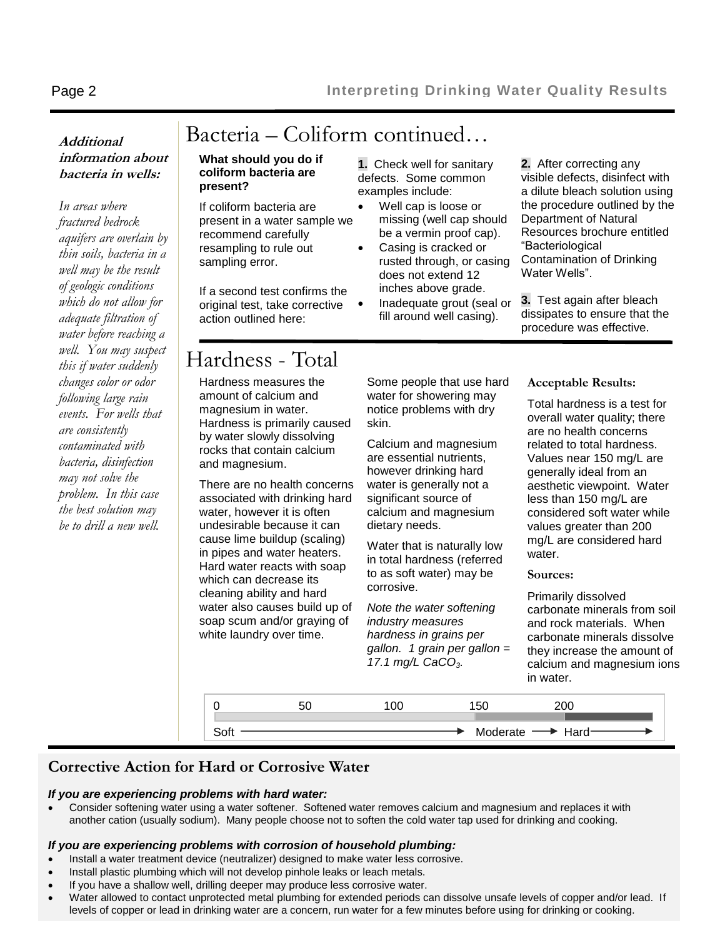### **Additional information about bacteria in wells:**

*In areas where fractured bedrock aquifers are overlain by thin soils, bacteria in a well may be the result of geologic conditions which do not allow for adequate filtration of water before reaching a well. You may suspect this if water suddenly changes color or odor following large rain events. For wells that are consistently contaminated with bacteria, disinfection may not solve the problem. In this case the best solution may be to drill a new well.*

# Bacteria – Coliform continued…

#### **What should you do if coliform bacteria are present?**

If coliform bacteria are present in a water sample we recommend carefully resampling to rule out sampling error.

If a second test confirms the original test, take corrective action outlined here:

**1.** Check well for sanitary defects. Some common examples include:

- Well cap is loose or missing (well cap should be a vermin proof cap).
- Casing is cracked or rusted through, or casing does not extend 12 inches above grade.
- Inadequate grout (seal or fill around well casing).

**2.** After correcting any visible defects, disinfect with a dilute bleach solution using the procedure outlined by the Department of Natural Resources brochure entitled "Bacteriological Contamination of Drinking Water Wells".

**3.** Test again after bleach dissipates to ensure that the procedure was effective.

# Hardness - Total

Hardness measures the amount of calcium and magnesium in water. Hardness is primarily caused by water slowly dissolving rocks that contain calcium and magnesium.

There are no health concerns associated with drinking hard water, however it is often undesirable because it can cause lime buildup (scaling) in pipes and water heaters. Hard water reacts with soap which can decrease its cleaning ability and hard water also causes build up of soap scum and/or graying of white laundry over time.

Some people that use hard water for showering may notice problems with dry skin.

Calcium and magnesium are essential nutrients, however drinking hard water is generally not a significant source of calcium and magnesium dietary needs.

Water that is naturally low in total hardness (referred to as soft water) may be corrosive.

*Note the water softening industry measures hardness in grains per gallon. 1 grain per gallon = 17.1 mg/L CaCO3.*

**Acceptable Results:**

Total hardness is a test for overall water quality; there are no health concerns related to total hardness. Values near 150 mg/L are generally ideal from an aesthetic viewpoint. Water less than 150 mg/L are considered soft water while values greater than 200 mg/L are considered hard water.

#### **Sources:**

Primarily dissolved carbonate minerals from soil and rock materials. When carbonate minerals dissolve they increase the amount of calcium and magnesium ions in water.



### **Corrective Action for Hard or Corrosive Water**

### *If you are experiencing problems with hard water:*

 Consider softening water using a water softener. Softened water removes calcium and magnesium and replaces it with another cation (usually sodium). Many people choose not to soften the cold water tap used for drinking and cooking.

### *If you are experiencing problems with corrosion of household plumbing:*

- Install a water treatment device (neutralizer) designed to make water less corrosive.
- Install plastic plumbing which will not develop pinhole leaks or leach metals.
- If you have a shallow well, drilling deeper may produce less corrosive water.
- Water allowed to contact unprotected metal plumbing for extended periods can dissolve unsafe levels of copper and/or lead. If levels of copper or lead in drinking water are a concern, run water for a few minutes before using for drinking or cooking.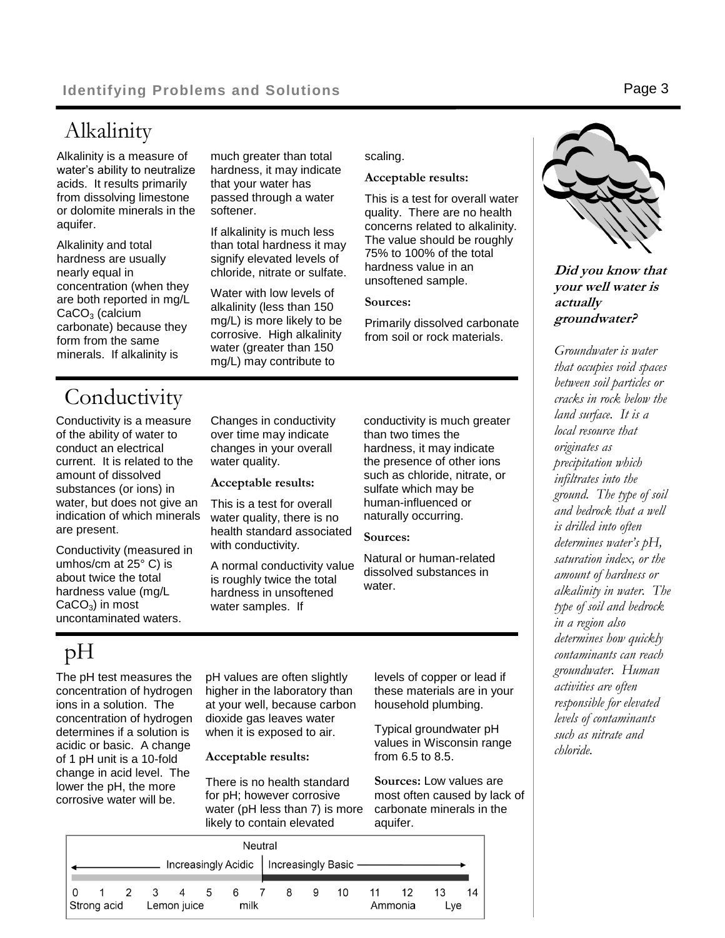Alkalinity is a measure of water's ability to neutralize acids. It results primarily from dissolving limestone or dolomite minerals in the aquifer.

Alkalinity and total hardness are usually nearly equal in concentration (when they are both reported in mg/L  $CaCO<sub>3</sub>$  (calcium carbonate) because they form from the same minerals. If alkalinity is

much greater than total hardness, it may indicate that your water has passed through a water softener.

If alkalinity is much less than total hardness it may signify elevated levels of chloride, nitrate or sulfate.

Water with low levels of alkalinity (less than 150 mg/L) is more likely to be corrosive. High alkalinity water (greater than 150 mg/L) may contribute to

scaling.

#### **Acceptable results:**

This is a test for overall water quality. There are no health concerns related to alkalinity. The value should be roughly 75% to 100% of the total hardness value in an unsoftened sample.

#### **Sources:**

Primarily dissolved carbonate from soil or rock materials.

# **Conductivity**

Conductivity is a measure of the ability of water to conduct an electrical current. It is related to the amount of dissolved substances (or ions) in water, but does not give an indication of which minerals are present.

Conductivity (measured in umhos/cm at 25° C) is about twice the total hardness value (mg/L  $CaCO<sub>3</sub>$ ) in most uncontaminated waters.

Changes in conductivity over time may indicate changes in your overall water quality.

**Acceptable results:**

This is a test for overall water quality, there is no health standard associated with conductivity.

A normal conductivity value is roughly twice the total hardness in unsoftened water samples. If

conductivity is much greater than two times the hardness, it may indicate the presence of other ions such as chloride, nitrate, or sulfate which may be human-influenced or naturally occurring.

**Sources:**

Natural or human-related dissolved substances in water.

# pH

The pH test measures the concentration of hydrogen ions in a solution. The concentration of hydrogen determines if a solution is acidic or basic. A change of 1 pH unit is a 10-fold change in acid level. The lower the pH, the more corrosive water will be.

pH values are often slightly higher in the laboratory than at your well, because carbon dioxide gas leaves water when it is exposed to air.

**Acceptable results:**

There is no health standard for pH; however corrosive water (pH less than 7) is more likely to contain elevated

levels of copper or lead if these materials are in your household plumbing.

Typical groundwater pH values in Wisconsin range from 6.5 to 8.5.

**Sources:** Low values are most often caused by lack of carbonate minerals in the aquifer.

| Neutral                                    |             |  |             |             |     |  |      |   |   |    |    |         |     |    |
|--------------------------------------------|-------------|--|-------------|-------------|-----|--|------|---|---|----|----|---------|-----|----|
| Increasingly Acidic   Increasingly Basic - |             |  |             |             |     |  |      |   |   |    |    |         |     |    |
|                                            |             |  | $2 \quad 3$ | 4           | 5 6 |  |      | 8 | 9 | 10 | 11 | 12      | 13  | 14 |
|                                            | Strong acid |  |             | Lemon juice |     |  | milk |   |   |    |    | Ammonia | Lve |    |



**actually groundwater?** *Groundwater is water that occupies void spaces between soil particles or cracks in rock below the land surface. It is a local resource that originates as precipitation which* 

*infiltrates into the ground. The type of soil and bedrock that a well is drilled into often determines water's pH, saturation index, or the amount of hardness or alkalinity in water. The type of soil and bedrock in a region also determines how quickly contaminants can reach groundwater. Human activities are often responsible for elevated levels of contaminants such as nitrate and chloride.*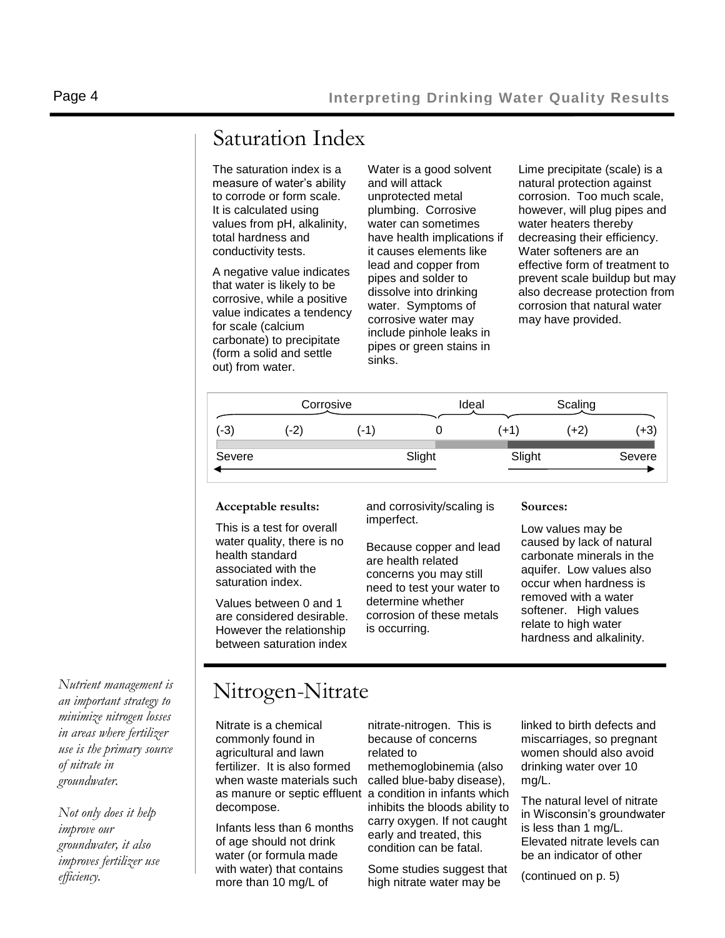## Saturation Index

The saturation index is a measure of water's ability to corrode or form scale. It is calculated using values from pH, alkalinity, total hardness and conductivity tests.

A negative value indicates that water is likely to be corrosive, while a positive value indicates a tendency for scale (calcium carbonate) to precipitate (form a solid and settle out) from water.

Water is a good solvent and will attack unprotected metal plumbing. Corrosive water can sometimes have health implications if it causes elements like lead and copper from pipes and solder to dissolve into drinking water. Symptoms of corrosive water may include pinhole leaks in pipes or green stains in sinks.

Lime precipitate (scale) is a natural protection against corrosion. Too much scale, however, will plug pipes and water heaters thereby decreasing their efficiency. Water softeners are an effective form of treatment to prevent scale buildup but may also decrease protection from corrosion that natural water may have provided.

|        | Corrosive |       |        | Ideal |        | Scaling |        |
|--------|-----------|-------|--------|-------|--------|---------|--------|
| $(-3)$ | (-2)      | $-1)$ |        |       | (+1,   | (+2)    | (+3    |
| Severe |           |       | Slight |       | Slight |         | Severe |

#### **Acceptable results:**

This is a test for overall water quality, there is no health standard associated with the saturation index.

Values between 0 and 1 are considered desirable. However the relationship between saturation index

and corrosivity/scaling is imperfect.

Because copper and lead are health related concerns you may still need to test your water to determine whether corrosion of these metals is occurring.

#### **Sources:**

Low values may be caused by lack of natural carbonate minerals in the aquifer. Low values also occur when hardness is removed with a water softener. High values relate to high water hardness and alkalinity.

*Nutrient management is an important strategy to minimize nitrogen losses in areas where fertilizer use is the primary source of nitrate in groundwater.* 

*Not only does it help improve our groundwater, it also improves fertilizer use efficiency.* 

### Nitrogen-Nitrate

Nitrate is a chemical commonly found in agricultural and lawn fertilizer. It is also formed when waste materials such as manure or septic effluent a condition in infants which decompose.

Infants less than 6 months of age should not drink water (or formula made with water) that contains more than 10 mg/L of

nitrate-nitrogen. This is because of concerns related to methemoglobinemia (also called blue-baby disease), inhibits the bloods ability to carry oxygen. If not caught early and treated, this condition can be fatal.

Some studies suggest that high nitrate water may be

linked to birth defects and miscarriages, so pregnant women should also avoid drinking water over 10 mg/L.

The natural level of nitrate in Wisconsin's groundwater is less than 1 mg/L. Elevated nitrate levels can be an indicator of other

(continued on p. 5)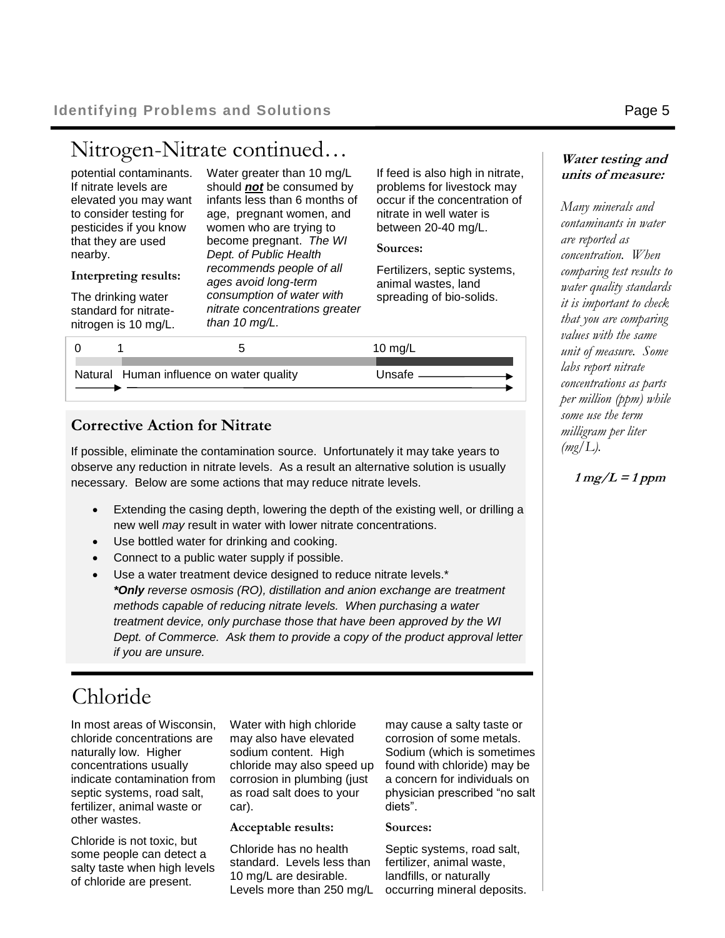### Nitrogen-Nitrate continued…

| potential contaminants. | Water grea    |
|-------------------------|---------------|
| If nitrate levels are   | should not    |
| elevated you may want   | infants less  |
| to consider testing for | age, pregn    |
| pesticides if you know  | women who     |
| that they are used      | become pre    |
| nearby.                 | Dept. of Pu   |
|                         | recommend     |
| Interpreting results:   | prioure sanne |

The drinking water standard for nitratenitrogen is 10 mg/L.

ter than 10 mg/L be consumed by than 6 months of ant women, and o are trying to become pregnant. *The WI Dept. of Public Health recommends people of all ages avoid long-term consumption of water with nitrate concentrations greater than 10 mg/L.*

If feed is also high in nitrate, problems for livestock may occur if the concentration of nitrate in well water is between 20-40 mg/L.

#### **Sources:**

Fertilizers, septic systems, animal wastes, land spreading of bio-solids.

|                                          | 10 mg/L  |
|------------------------------------------|----------|
| Natural Human influence on water quality | Unsafe - |

### **Corrective Action for Nitrate**

If possible, eliminate the contamination source. Unfortunately it may take years to observe any reduction in nitrate levels. As a result an alternative solution is usually necessary. Below are some actions that may reduce nitrate levels.

- Extending the casing depth, lowering the depth of the existing well, or drilling a new well *may* result in water with lower nitrate concentrations.
- Use bottled water for drinking and cooking.
- Connect to a public water supply if possible.
- Use a water treatment device designed to reduce nitrate levels.\* *\*Only reverse osmosis (RO), distillation and anion exchange are treatment methods capable of reducing nitrate levels. When purchasing a water treatment device, only purchase those that have been approved by the WI Dept. of Commerce. Ask them to provide a copy of the product approval letter if you are unsure.*

### Chloride

In most areas of Wisconsin, chloride concentrations are naturally low. Higher concentrations usually indicate contamination from septic systems, road salt, fertilizer, animal waste or other wastes.

Chloride is not toxic, but some people can detect a salty taste when high levels of chloride are present.

Water with high chloride may also have elevated sodium content. High chloride may also speed up corrosion in plumbing (just as road salt does to your car).

#### **Acceptable results:**

Chloride has no health standard. Levels less than 10 mg/L are desirable. Levels more than 250 mg/L

may cause a salty taste or corrosion of some metals. Sodium (which is sometimes found with chloride) may be a concern for individuals on physician prescribed "no salt diets".

#### **Sources:**

Septic systems, road salt, fertilizer, animal waste, landfills, or naturally occurring mineral deposits.

### **Water testing and units of measure:**

*Many minerals and contaminants in water are reported as concentration. When comparing test results to water quality standards it is important to check that you are comparing values with the same unit of measure. Some labs report nitrate concentrations as parts per million (ppm) while some use the term milligram per liter (mg/L).*

 $1 mg/L = 1 ppm$